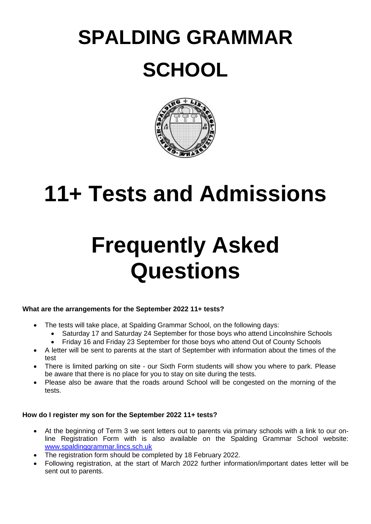# **SPALDING GRAMMAR SCHOOL**



### **11+ Tests and Admissions**

## **Frequently Asked Questions**

#### **What are the arrangements for the September 2022 11+ tests?**

- The tests will take place, at Spalding Grammar School, on the following days:
	- Saturday 17 and Saturday 24 September for those boys who attend Lincolnshire Schools
	- Friday 16 and Friday 23 September for those boys who attend Out of County Schools
- A letter will be sent to parents at the start of September with information about the times of the test
- There is limited parking on site our Sixth Form students will show you where to park. Please be aware that there is no place for you to stay on site during the tests.
- Please also be aware that the roads around School will be congested on the morning of the tests.

#### **How do I register my son for the September 2022 11+ tests?**

- At the beginning of Term 3 we sent letters out to parents via primary schools with a link to our online Registration Form with is also available on the Spalding Grammar School website: [www.spaldinggrammar.lincs.sch.uk](http://www.spaldinggrammar.lincs.sch.uk/)
- The registration form should be completed by 18 February 2022.
- Following registration, at the start of March 2022 further information/important dates letter will be sent out to parents.